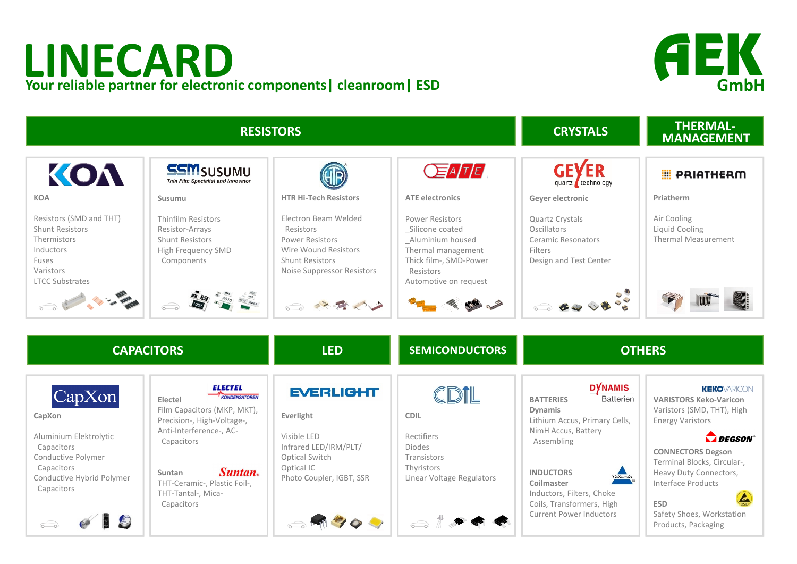## **LINECARD Your reliable partner for electronic components| cleanroom| ESD**